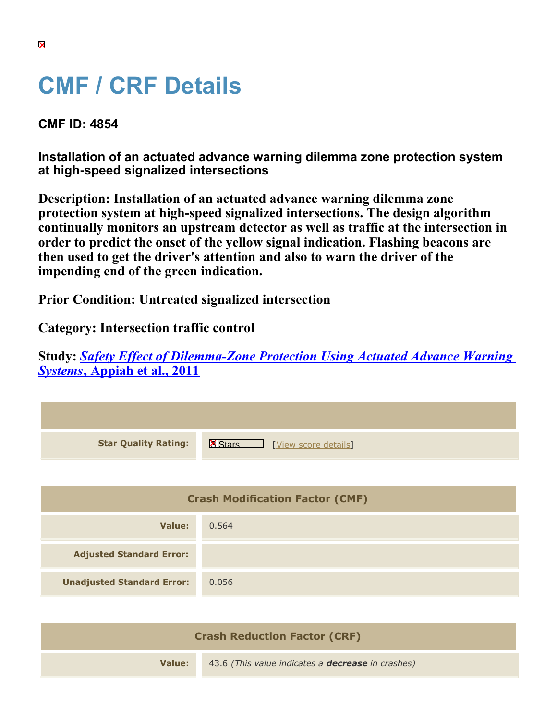## **CMF / CRF Details**

## **CMF ID: 4854**

**Installation of an actuated advance warning dilemma zone protection system at high-speed signalized intersections**

**Description: Installation of an actuated advance warning dilemma zone protection system at high-speed signalized intersections. The design algorithm continually monitors an upstream detector as well as traffic at the intersection in order to predict the onset of the yellow signal indication. Flashing beacons are then used to get the driver's attention and also to warn the driver of the impending end of the green indication.**

**Prior Condition: Untreated signalized intersection**

**Category: Intersection traffic control**

**Study:** *[Safety Effect of Dilemma-Zone Protection Using Actuated Advance Warning](https://cmfclearinghouse.org/study_detail.cfm?stid=311) [Systems](https://cmfclearinghouse.org/study_detail.cfm?stid=311)***[, Appiah et al., 2011](https://cmfclearinghouse.org/study_detail.cfm?stid=311)**



| <b>Crash Reduction Factor (CRF)</b> |                                                          |
|-------------------------------------|----------------------------------------------------------|
| Value:                              | 43.6 (This value indicates a <b>decrease</b> in crashes) |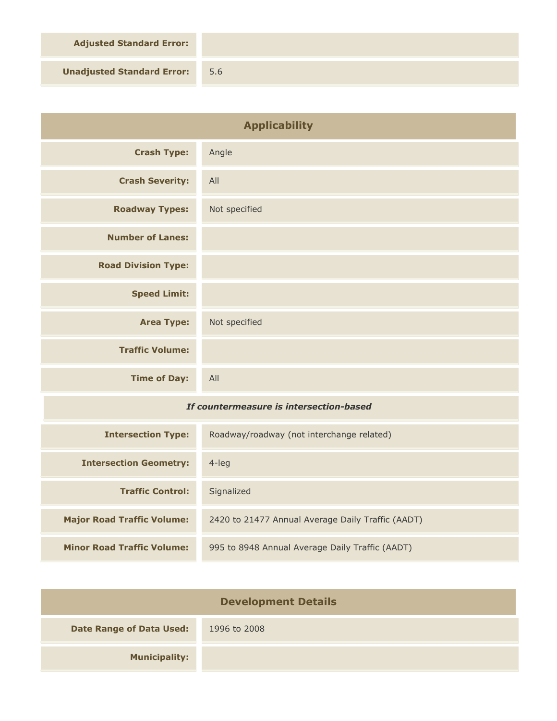**Adjusted Standard Error:**

**Unadjusted Standard Error:** 5.6

| <b>Applicability</b>                    |                                                   |
|-----------------------------------------|---------------------------------------------------|
| <b>Crash Type:</b>                      | Angle                                             |
| <b>Crash Severity:</b>                  | All                                               |
| <b>Roadway Types:</b>                   | Not specified                                     |
| <b>Number of Lanes:</b>                 |                                                   |
| <b>Road Division Type:</b>              |                                                   |
| <b>Speed Limit:</b>                     |                                                   |
| <b>Area Type:</b>                       | Not specified                                     |
| <b>Traffic Volume:</b>                  |                                                   |
| <b>Time of Day:</b>                     | All                                               |
| If countermeasure is intersection-based |                                                   |
| <b>Intersection Type:</b>               | Roadway/roadway (not interchange related)         |
| <b>Intersection Geometry:</b>           | $4$ -leg                                          |
| <b>Traffic Control:</b>                 | Signalized                                        |
| <b>Major Road Traffic Volume:</b>       | 2420 to 21477 Annual Average Daily Traffic (AADT) |
| <b>Minor Road Traffic Volume:</b>       | 995 to 8948 Annual Average Daily Traffic (AADT)   |

| <b>Development Details</b>      |              |
|---------------------------------|--------------|
| <b>Date Range of Data Used:</b> | 1996 to 2008 |
| <b>Municipality:</b>            |              |